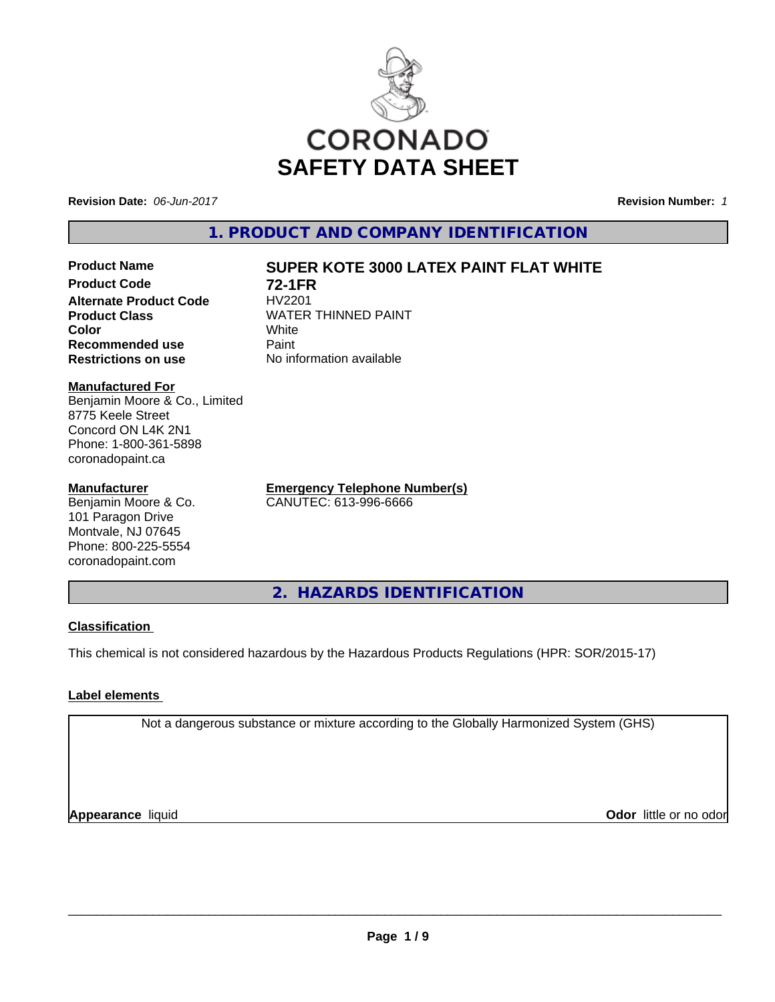

**Revision Date:** *06-Jun-2017* **Revision Number:** *1*

**1. PRODUCT AND COMPANY IDENTIFICATION**

**Product Code 72-1FR**<br>**Alternate Product Code HV2201 Alternate Product Code**<br>Product Class **Color** White White **Recommended use** Paint **Restrictions on use** No information available

# **Product Name SUPER KOTE 3000 LATEX PAINT FLAT WHITE**

**WATER THINNED PAINT**<br>White

**Manufactured For** Benjamin Moore & Co., Limited 8775 Keele Street Concord ON L4K 2N1 Phone: 1-800-361-5898

#### **Manufacturer**

coronadopaint.ca

Benjamin Moore & Co. 101 Paragon Drive Montvale, NJ 07645 Phone: 800-225-5554 coronadopaint.com

**Emergency Telephone Number(s)** CANUTEC: 613-996-6666

**2. HAZARDS IDENTIFICATION**

#### **Classification**

This chemical is not considered hazardous by the Hazardous Products Regulations (HPR: SOR/2015-17)

## **Label elements**

Not a dangerous substance or mixture according to the Globally Harmonized System (GHS)

**Appearance** liquid

**Odor** little or no odor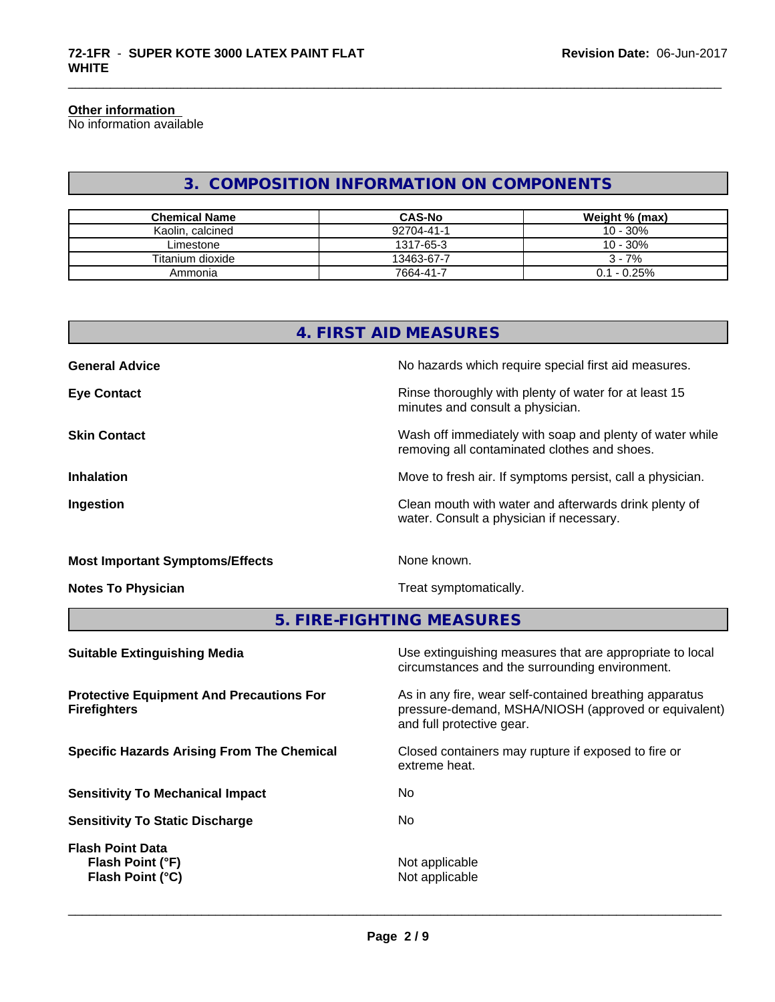#### **Other information**

No information available

# **3. COMPOSITION INFORMATION ON COMPONENTS**

\_\_\_\_\_\_\_\_\_\_\_\_\_\_\_\_\_\_\_\_\_\_\_\_\_\_\_\_\_\_\_\_\_\_\_\_\_\_\_\_\_\_\_\_\_\_\_\_\_\_\_\_\_\_\_\_\_\_\_\_\_\_\_\_\_\_\_\_\_\_\_\_\_\_\_\_\_\_\_\_\_\_\_\_\_\_\_\_\_\_\_\_\_

| <b>Chemical Name</b> | <b>CAS-No</b> | Weight % (max) |
|----------------------|---------------|----------------|
| Kaolin, calcined     | 92704-41-1    | 10 - 30%       |
| Limestone            | 1317-65-3     | 10 - 30%       |
| Titanium dioxide     | 13463-67-7    | $3 - 7%$       |
| Ammonia              | 7664-41-7     | $0.1 - 0.25%$  |

|                                        | 4. FIRST AID MEASURES                                                                                    |
|----------------------------------------|----------------------------------------------------------------------------------------------------------|
| <b>General Advice</b>                  | No hazards which require special first aid measures.                                                     |
| <b>Eye Contact</b>                     | Rinse thoroughly with plenty of water for at least 15<br>minutes and consult a physician.                |
| <b>Skin Contact</b>                    | Wash off immediately with soap and plenty of water while<br>removing all contaminated clothes and shoes. |
| <b>Inhalation</b>                      | Move to fresh air. If symptoms persist, call a physician.                                                |
| Ingestion                              | Clean mouth with water and afterwards drink plenty of<br>water. Consult a physician if necessary.        |
| <b>Most Important Symptoms/Effects</b> | None known.                                                                                              |
| <b>Notes To Physician</b>              | Treat symptomatically.                                                                                   |
|                                        | 5. FIRE-FIGHTING MEASURES                                                                                |

| <b>Suitable Extinguishing Media</b>                                    | Use extinguishing measures that are appropriate to local<br>circumstances and the surrounding environment.                                   |
|------------------------------------------------------------------------|----------------------------------------------------------------------------------------------------------------------------------------------|
| <b>Protective Equipment And Precautions For</b><br><b>Firefighters</b> | As in any fire, wear self-contained breathing apparatus<br>pressure-demand, MSHA/NIOSH (approved or equivalent)<br>and full protective gear. |
| <b>Specific Hazards Arising From The Chemical</b>                      | Closed containers may rupture if exposed to fire or<br>extreme heat.                                                                         |
| <b>Sensitivity To Mechanical Impact</b>                                | No.                                                                                                                                          |
| <b>Sensitivity To Static Discharge</b>                                 | No.                                                                                                                                          |
| <b>Flash Point Data</b><br>Flash Point (°F)<br>Flash Point (°C)        | Not applicable<br>Not applicable                                                                                                             |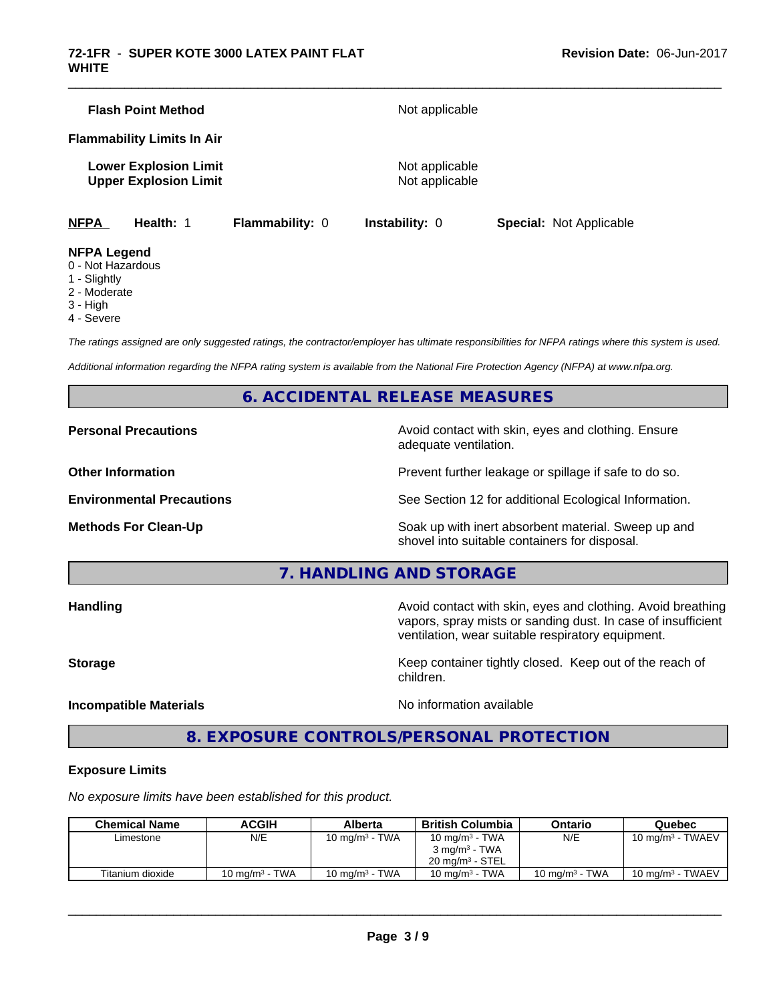|             | <b>Flash Point Method</b>                                    |                        | Not applicable                   |                                |
|-------------|--------------------------------------------------------------|------------------------|----------------------------------|--------------------------------|
|             | <b>Flammability Limits In Air</b>                            |                        |                                  |                                |
|             | <b>Lower Explosion Limit</b><br><b>Upper Explosion Limit</b> |                        | Not applicable<br>Not applicable |                                |
| <b>NFPA</b> | Health: 1                                                    | <b>Flammability: 0</b> | <b>Instability: 0</b>            | <b>Special: Not Applicable</b> |

\_\_\_\_\_\_\_\_\_\_\_\_\_\_\_\_\_\_\_\_\_\_\_\_\_\_\_\_\_\_\_\_\_\_\_\_\_\_\_\_\_\_\_\_\_\_\_\_\_\_\_\_\_\_\_\_\_\_\_\_\_\_\_\_\_\_\_\_\_\_\_\_\_\_\_\_\_\_\_\_\_\_\_\_\_\_\_\_\_\_\_\_\_

#### **NFPA Legend**

- 0 Not Hazardous
- 1 Slightly
- 2 Moderate
- 3 High
- 4 Severe

*The ratings assigned are only suggested ratings, the contractor/employer has ultimate responsibilities for NFPA ratings where this system is used.*

*Additional information regarding the NFPA rating system is available from the National Fire Protection Agency (NFPA) at www.nfpa.org.*

## **6. ACCIDENTAL RELEASE MEASURES**

**Personal Precautions Avoid contact with skin, eyes and clothing. Ensure** Avoid contact with skin, eyes and clothing. Ensure adequate ventilation.

**Other Information Discription Prevent further leakage or spillage if safe to do so.** 

**Environmental Precautions** See Section 12 for additional Ecological Information.

**Methods For Clean-Up Example 20 All 20 All 20 All 20 Soak** up with inert absorbent material. Sweep up and shovel into suitable containers for disposal.

**7. HANDLING AND STORAGE**

**Handling Handling Avoid contact with skin, eyes and clothing. Avoid breathing** vapors, spray mists or sanding dust. In case of insufficient ventilation, wear suitable respiratory equipment.

**Storage Keep container tightly closed. Keep out of the reach of Keep** container tightly closed. Keep out of the reach of

**Incompatible Materials Incompatible Materials No information available** 

 $\overline{\phantom{a}}$  ,  $\overline{\phantom{a}}$  ,  $\overline{\phantom{a}}$  ,  $\overline{\phantom{a}}$  ,  $\overline{\phantom{a}}$  ,  $\overline{\phantom{a}}$  ,  $\overline{\phantom{a}}$  ,  $\overline{\phantom{a}}$  ,  $\overline{\phantom{a}}$  ,  $\overline{\phantom{a}}$  ,  $\overline{\phantom{a}}$  ,  $\overline{\phantom{a}}$  ,  $\overline{\phantom{a}}$  ,  $\overline{\phantom{a}}$  ,  $\overline{\phantom{a}}$  ,  $\overline{\phantom{a}}$ 

# **8. EXPOSURE CONTROLS/PERSONAL PROTECTION**

children.

#### **Exposure Limits**

*No exposure limits have been established for this product.*

| <b>Chemical Name</b> | ACGIH             | Alberta           | <b>British Columbia</b>    | Ontario           | Quebec                      |
|----------------------|-------------------|-------------------|----------------------------|-------------------|-----------------------------|
| Limestone            | N/E               | 10 mg/m $3$ - TWA | 10 mg/m <sup>3</sup> - TWA | N/E               | 10 mg/m $3$ - TWAEV         |
|                      |                   |                   | $3 \text{ ma/m}^3$ - TWA   |                   |                             |
|                      |                   |                   | $20 \text{ ma/m}^3$ - STEL |                   |                             |
| Titanium dioxide     | 10 mg/m $3$ - TWA | 10 mg/m $3$ - TWA | 10 mg/m $3$ - TWA          | 10 mg/m $3$ - TWA | $10 \text{ mg/m}^3$ - TWAEV |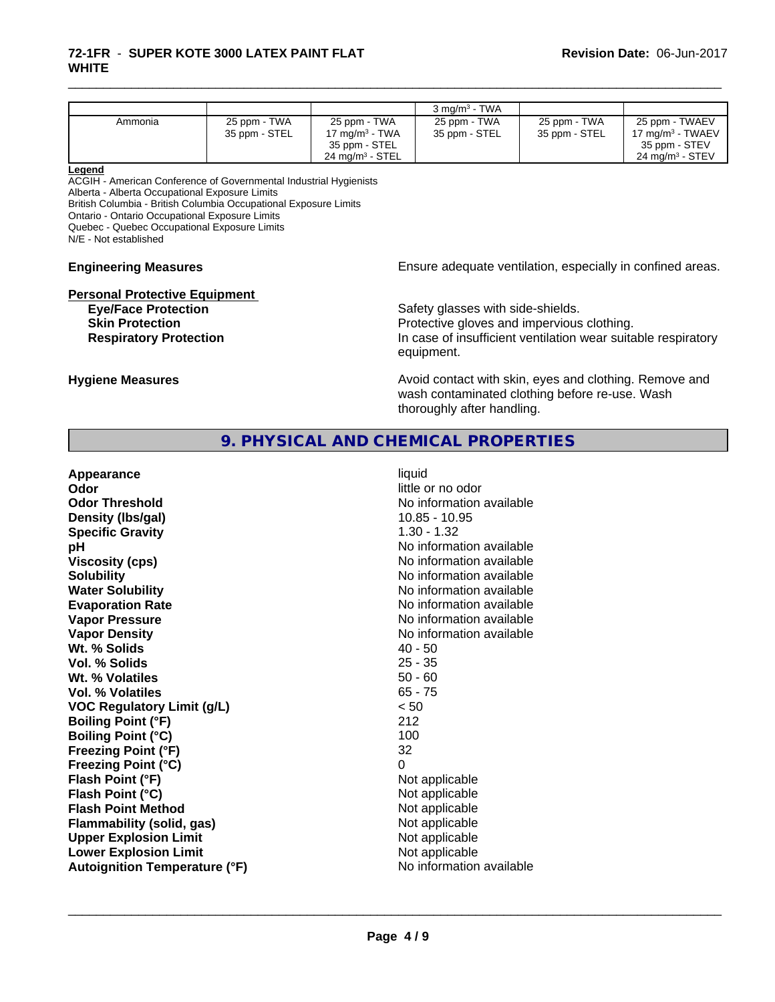#### **72-1FR** - **SUPER KOTE 3000 LATEX PAINT FLAT WHITE**

|         |               |                            | $3 \text{ ma/m}^3$ - TWA |               |                              |
|---------|---------------|----------------------------|--------------------------|---------------|------------------------------|
| Ammonia | 25 ppm - TWA  | 25 ppm - TWA               | 25 ppm - TWA             | 25 ppm - TWA  | 25 ppm - TWAEV               |
|         | 35 ppm - STEL | 17 mg/m $3$ - TWA          | 35 ppm - STEL            | 35 ppm - STEL | 17 mg/m <sup>3</sup> - TWAEV |
|         |               | 35 ppm - STEL              |                          |               | 35 ppm - STEV                |
|         |               | $24 \text{ ma/m}^3$ - STEL |                          |               | $24 \text{ ma/m}^3$ - STEV   |

\_\_\_\_\_\_\_\_\_\_\_\_\_\_\_\_\_\_\_\_\_\_\_\_\_\_\_\_\_\_\_\_\_\_\_\_\_\_\_\_\_\_\_\_\_\_\_\_\_\_\_\_\_\_\_\_\_\_\_\_\_\_\_\_\_\_\_\_\_\_\_\_\_\_\_\_\_\_\_\_\_\_\_\_\_\_\_\_\_\_\_\_\_

#### **Legend**

ACGIH - American Conference of Governmental Industrial Hygienists Alberta - Alberta Occupational Exposure Limits

British Columbia - British Columbia Occupational Exposure Limits

Ontario - Ontario Occupational Exposure Limits

Quebec - Quebec Occupational Exposure Limits

N/E - Not established

# **Personal Protective Equipment**<br> **Eve/Face Protection**

**Engineering Measures Ensure** Ensure adequate ventilation, especially in confined areas.

Safety glasses with side-shields. **Skin Protection Protection Protective gloves and impervious clothing. Respiratory Protection In case of insufficient ventilation wear suitable respiratory** equipment.

**Hygiene Measures Avoid contact with skin, eyes and clothing. Remove and Avoid contact with skin, eyes and clothing. Remove and Avoid contact with skin, eyes and clothing. Remove and** wash contaminated clothing before re-use. Wash thoroughly after handling.

# **9. PHYSICAL AND CHEMICAL PROPERTIES**

| Appearance                           | liquid                   |
|--------------------------------------|--------------------------|
| Odor                                 | little or no odor        |
| <b>Odor Threshold</b>                | No information available |
| Density (Ibs/gal)                    | $10.85 - 10.95$          |
| <b>Specific Gravity</b>              | $1.30 - 1.32$            |
| pH                                   | No information available |
| <b>Viscosity (cps)</b>               | No information available |
| <b>Solubility</b>                    | No information available |
| <b>Water Solubility</b>              | No information available |
| <b>Evaporation Rate</b>              | No information available |
| <b>Vapor Pressure</b>                | No information available |
| <b>Vapor Density</b>                 | No information available |
| Wt. % Solids                         | $40 - 50$                |
| Vol. % Solids                        | $25 - 35$                |
| Wt. % Volatiles                      | $50 - 60$                |
| <b>Vol. % Volatiles</b>              | $65 - 75$                |
| <b>VOC Regulatory Limit (g/L)</b>    | < 50                     |
| <b>Boiling Point (°F)</b>            | 212                      |
| <b>Boiling Point (°C)</b>            | 100                      |
| <b>Freezing Point (°F)</b>           | 32                       |
| <b>Freezing Point (°C)</b>           | 0                        |
| Flash Point (°F)                     | Not applicable           |
| Flash Point (°C)                     | Not applicable           |
| <b>Flash Point Method</b>            | Not applicable           |
| <b>Flammability (solid, gas)</b>     | Not applicable           |
| <b>Upper Explosion Limit</b>         | Not applicable           |
| <b>Lower Explosion Limit</b>         | Not applicable           |
| <b>Autoignition Temperature (°F)</b> | No information available |
|                                      |                          |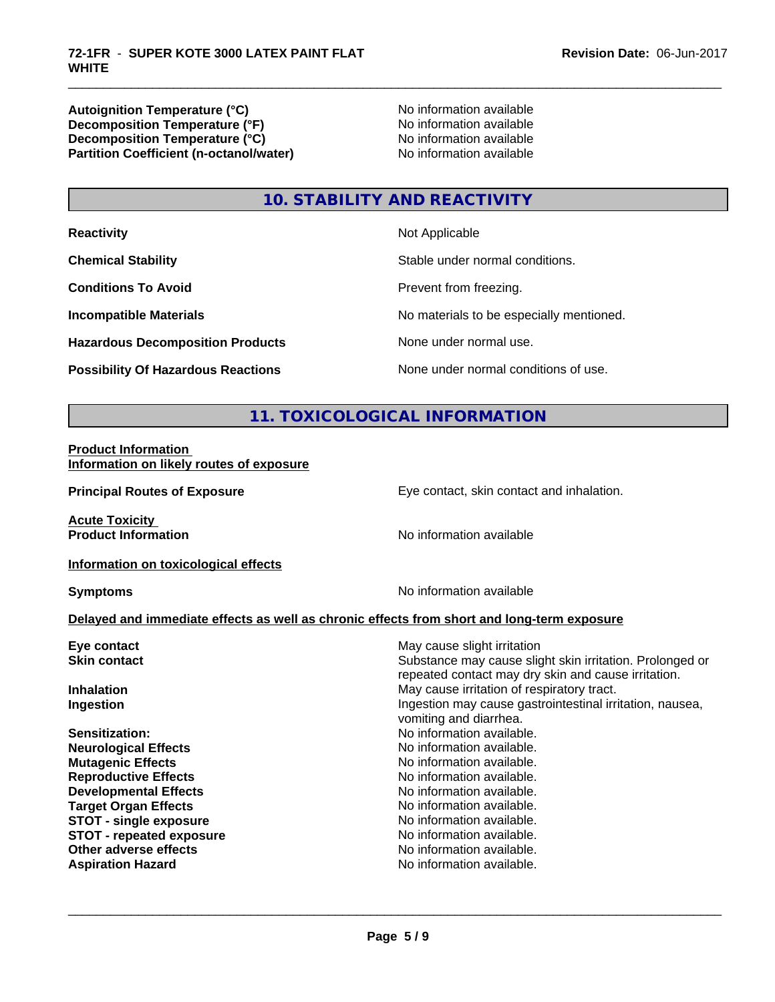Autoignition Temperature (°C)<br>
Decomposition Temperature (°F)<br>
No information available **Decomposition Temperature (°F)**<br> **Decomposition Temperature (°C)**<br>
No information available **Decomposition Temperature (°C)**<br> **Partition Coefficient (n-octanol/water)** No information available **Partition Coefficient (n-octanol/water)** 

\_\_\_\_\_\_\_\_\_\_\_\_\_\_\_\_\_\_\_\_\_\_\_\_\_\_\_\_\_\_\_\_\_\_\_\_\_\_\_\_\_\_\_\_\_\_\_\_\_\_\_\_\_\_\_\_\_\_\_\_\_\_\_\_\_\_\_\_\_\_\_\_\_\_\_\_\_\_\_\_\_\_\_\_\_\_\_\_\_\_\_\_\_

# **10. STABILITY AND REACTIVITY**

| <b>Reactivity</b>                         | Not Applicable                           |
|-------------------------------------------|------------------------------------------|
| <b>Chemical Stability</b>                 | Stable under normal conditions.          |
| <b>Conditions To Avoid</b>                | Prevent from freezing.                   |
| <b>Incompatible Materials</b>             | No materials to be especially mentioned. |
| <b>Hazardous Decomposition Products</b>   | None under normal use.                   |
| <b>Possibility Of Hazardous Reactions</b> | None under normal conditions of use.     |

# **11. TOXICOLOGICAL INFORMATION**

#### **Product Information Information on likely routes of exposure**

**Principal Routes of Exposure Exposure** Eye contact, skin contact and inhalation.

**Acute Toxicity** 

**Product Information** No information available

**Information on toxicological effects**

**Symptoms** No information available

#### **Delayed and immediate effects as well as chronic effects from short and long-term exposure**

| Eye contact<br>May cause slight irritation<br>Substance may cause slight skin irritation. Prolonged or<br><b>Skin contact</b><br>repeated contact may dry skin and cause irritation.<br>May cause irritation of respiratory tract.<br><b>Inhalation</b><br>Ingestion may cause gastrointestinal irritation, nausea,<br>Ingestion<br>vomiting and diarrhea.<br>No information available.<br>Sensitization: |  |
|-----------------------------------------------------------------------------------------------------------------------------------------------------------------------------------------------------------------------------------------------------------------------------------------------------------------------------------------------------------------------------------------------------------|--|
|                                                                                                                                                                                                                                                                                                                                                                                                           |  |
|                                                                                                                                                                                                                                                                                                                                                                                                           |  |
|                                                                                                                                                                                                                                                                                                                                                                                                           |  |
|                                                                                                                                                                                                                                                                                                                                                                                                           |  |
| No information available.<br><b>Neurological Effects</b>                                                                                                                                                                                                                                                                                                                                                  |  |
| No information available.<br><b>Mutagenic Effects</b>                                                                                                                                                                                                                                                                                                                                                     |  |
| <b>Reproductive Effects</b><br>No information available.                                                                                                                                                                                                                                                                                                                                                  |  |
| No information available.<br><b>Developmental Effects</b>                                                                                                                                                                                                                                                                                                                                                 |  |
| No information available.<br><b>Target Organ Effects</b>                                                                                                                                                                                                                                                                                                                                                  |  |
| <b>STOT - single exposure</b><br>No information available.                                                                                                                                                                                                                                                                                                                                                |  |
| No information available.<br><b>STOT - repeated exposure</b>                                                                                                                                                                                                                                                                                                                                              |  |
| Other adverse effects<br>No information available.                                                                                                                                                                                                                                                                                                                                                        |  |
| No information available.<br><b>Aspiration Hazard</b>                                                                                                                                                                                                                                                                                                                                                     |  |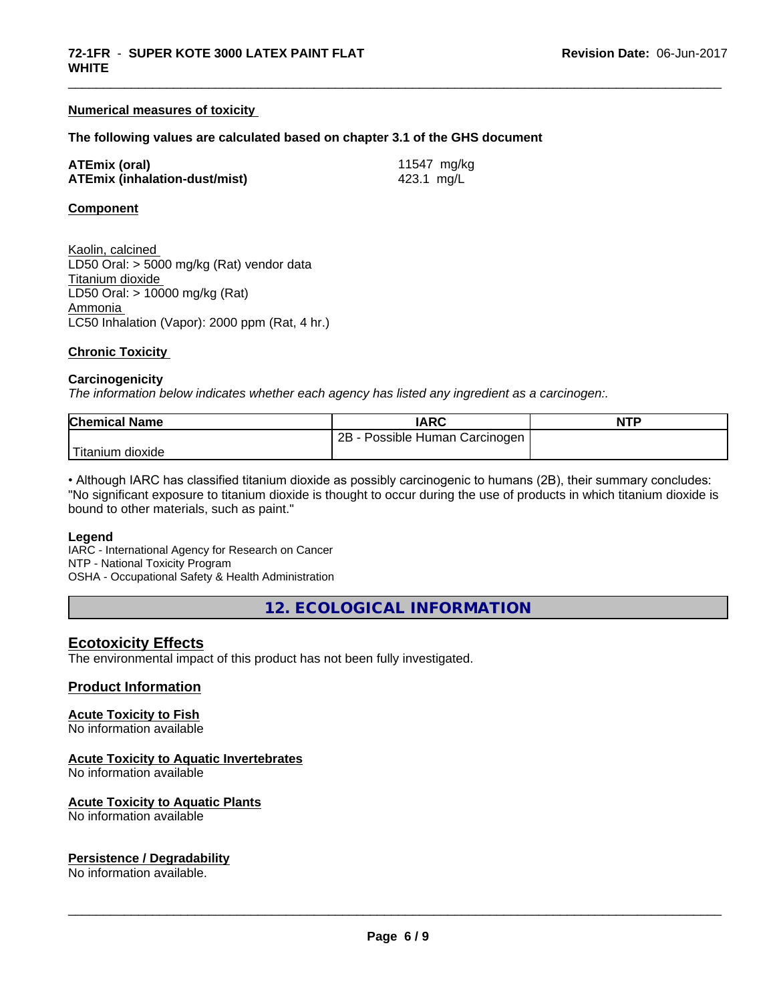#### **Numerical measures of toxicity**

#### **The following values are calculated based on chapter 3.1 of the GHS document**

| <b>ATEmix (oral)</b> |                                      |
|----------------------|--------------------------------------|
|                      | <b>ATEmix (inhalation-dust/mist)</b> |

**ATEmix (oral)** 11547 mg/kg **ATEmix (inhalation-dust/mist)** 423.1 mg/L

\_\_\_\_\_\_\_\_\_\_\_\_\_\_\_\_\_\_\_\_\_\_\_\_\_\_\_\_\_\_\_\_\_\_\_\_\_\_\_\_\_\_\_\_\_\_\_\_\_\_\_\_\_\_\_\_\_\_\_\_\_\_\_\_\_\_\_\_\_\_\_\_\_\_\_\_\_\_\_\_\_\_\_\_\_\_\_\_\_\_\_\_\_

#### **Component**

Kaolin, calcined LD50 Oral: > 5000 mg/kg (Rat) vendor data Titanium dioxide LD50 Oral: > 10000 mg/kg (Rat) Ammonia LC50 Inhalation (Vapor): 2000 ppm (Rat, 4 hr.)

#### **Chronic Toxicity**

#### **Carcinogenicity**

*The information below indicateswhether each agency has listed any ingredient as a carcinogen:.*

| <b>Chemical Name</b>           | <b>IARC</b>                     | <b>NTP</b> |
|--------------------------------|---------------------------------|------------|
|                                | 2B<br>Possible Human Carcinogen |            |
| $T^*$<br>⊧dioxide<br>l itanıum |                                 |            |

• Although IARC has classified titanium dioxide as possibly carcinogenic to humans (2B), their summary concludes: "No significant exposure to titanium dioxide is thought to occur during the use of products in which titanium dioxide is bound to other materials, such as paint."

#### **Legend**

IARC - International Agency for Research on Cancer NTP - National Toxicity Program OSHA - Occupational Safety & Health Administration

**12. ECOLOGICAL INFORMATION**

#### **Ecotoxicity Effects**

The environmental impact of this product has not been fully investigated.

#### **Product Information**

#### **Acute Toxicity to Fish**

No information available

#### **Acute Toxicity to Aquatic Invertebrates**

No information available

#### **Acute Toxicity to Aquatic Plants**

No information available

#### **Persistence / Degradability**

No information available.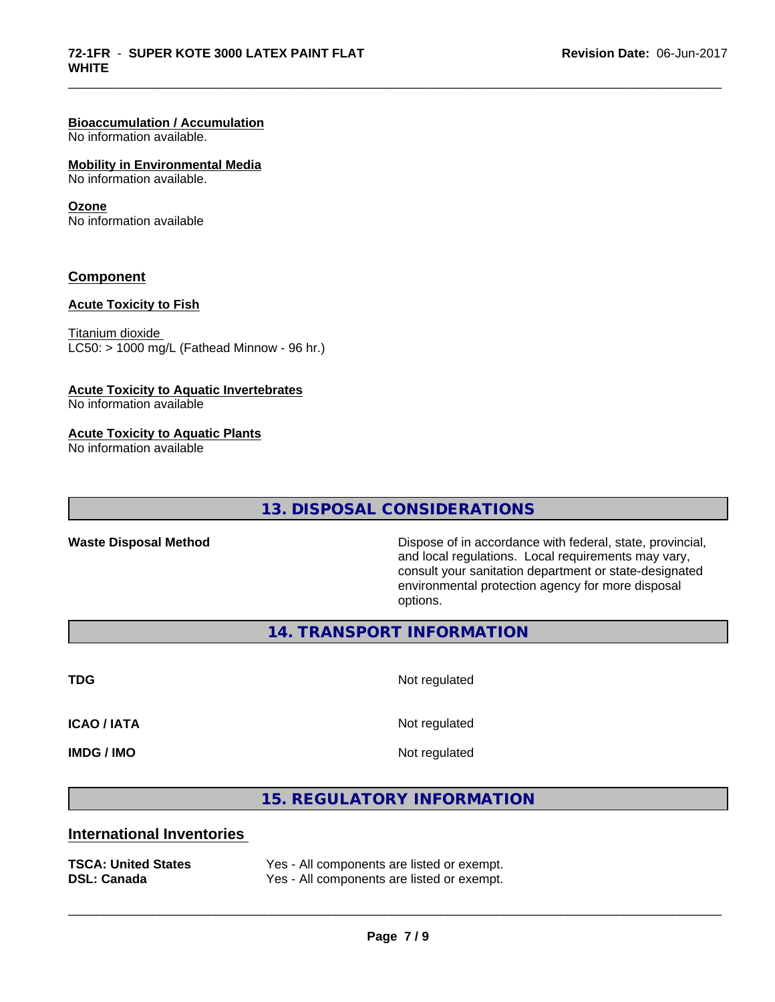# **Bioaccumulation / Accumulation**

No information available.

#### **Mobility in Environmental Media**

No information available.

#### **Ozone**

No information available

#### **Component**

#### **Acute Toxicity to Fish**

Titanium dioxide  $LC50:$  > 1000 mg/L (Fathead Minnow - 96 hr.)

#### **Acute Toxicity to Aquatic Invertebrates**

No information available

#### **Acute Toxicity to Aquatic Plants**

No information available

# **13. DISPOSAL CONSIDERATIONS**

**Waste Disposal Method** Dispose of in accordance with federal, state, provincial, and local regulations. Local requirements may vary, consult your sanitation department or state-designated environmental protection agency for more disposal options.

**14. TRANSPORT INFORMATION**

**TDG** Not regulated

\_\_\_\_\_\_\_\_\_\_\_\_\_\_\_\_\_\_\_\_\_\_\_\_\_\_\_\_\_\_\_\_\_\_\_\_\_\_\_\_\_\_\_\_\_\_\_\_\_\_\_\_\_\_\_\_\_\_\_\_\_\_\_\_\_\_\_\_\_\_\_\_\_\_\_\_\_\_\_\_\_\_\_\_\_\_\_\_\_\_\_\_\_

**ICAO / IATA** Not regulated

**IMDG / IMO** Not regulated

 $\overline{\phantom{a}}$  ,  $\overline{\phantom{a}}$  ,  $\overline{\phantom{a}}$  ,  $\overline{\phantom{a}}$  ,  $\overline{\phantom{a}}$  ,  $\overline{\phantom{a}}$  ,  $\overline{\phantom{a}}$  ,  $\overline{\phantom{a}}$  ,  $\overline{\phantom{a}}$  ,  $\overline{\phantom{a}}$  ,  $\overline{\phantom{a}}$  ,  $\overline{\phantom{a}}$  ,  $\overline{\phantom{a}}$  ,  $\overline{\phantom{a}}$  ,  $\overline{\phantom{a}}$  ,  $\overline{\phantom{a}}$ 

**15. REGULATORY INFORMATION**

# **International Inventories**

| <b>TSCA: United States</b> | Yes - All components are listed or exempt. |
|----------------------------|--------------------------------------------|
| <b>DSL: Canada</b>         | Yes - All components are listed or exempt. |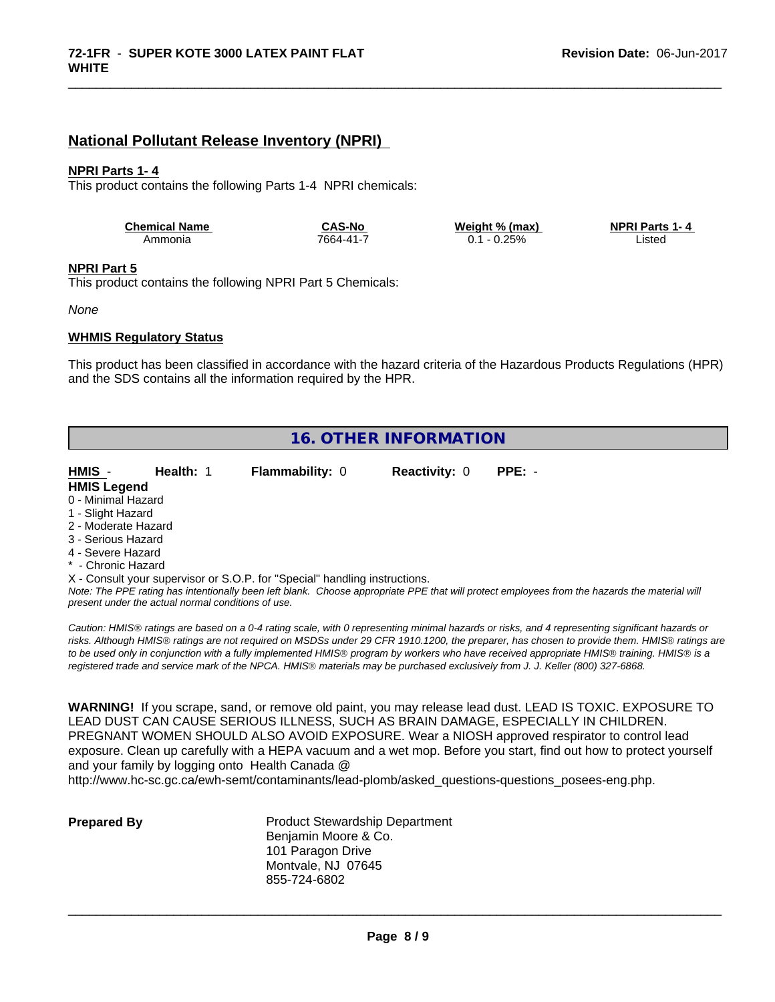## **National Pollutant Release Inventory (NPRI)**

#### **NPRI Parts 1- 4**

This product contains the following Parts 1-4 NPRI chemicals:

| <b>Chemical Name</b> | <b>CAS-No</b> | Weight % (max) | <b>NPRI Parts 1-4</b> |
|----------------------|---------------|----------------|-----------------------|
| Ammonia              | 7664-41-7     | $0.25\%$<br>υ. | Listed                |

\_\_\_\_\_\_\_\_\_\_\_\_\_\_\_\_\_\_\_\_\_\_\_\_\_\_\_\_\_\_\_\_\_\_\_\_\_\_\_\_\_\_\_\_\_\_\_\_\_\_\_\_\_\_\_\_\_\_\_\_\_\_\_\_\_\_\_\_\_\_\_\_\_\_\_\_\_\_\_\_\_\_\_\_\_\_\_\_\_\_\_\_\_

#### **NPRI Part 5**

This product contains the following NPRI Part 5 Chemicals:

*None*

#### **WHMIS Regulatory Status**

This product has been classified in accordance with the hazard criteria of the Hazardous Products Regulations (HPR) and the SDS contains all the information required by the HPR.

| <b>16. OTHER INFORMATION</b>                                               |                        |                      |                                                                                                                                               |  |  |  |
|----------------------------------------------------------------------------|------------------------|----------------------|-----------------------------------------------------------------------------------------------------------------------------------------------|--|--|--|
|                                                                            |                        |                      |                                                                                                                                               |  |  |  |
| $HMIS -$<br>Health: 1                                                      | <b>Flammability: 0</b> | <b>Reactivity: 0</b> | $PPE: -$                                                                                                                                      |  |  |  |
| <b>HMIS Legend</b>                                                         |                        |                      |                                                                                                                                               |  |  |  |
| 0 - Minimal Hazard                                                         |                        |                      |                                                                                                                                               |  |  |  |
| 1 - Slight Hazard                                                          |                        |                      |                                                                                                                                               |  |  |  |
| 2 - Moderate Hazard                                                        |                        |                      |                                                                                                                                               |  |  |  |
| 3 - Serious Hazard                                                         |                        |                      |                                                                                                                                               |  |  |  |
| 4 - Severe Hazard                                                          |                        |                      |                                                                                                                                               |  |  |  |
| * - Chronic Hazard                                                         |                        |                      |                                                                                                                                               |  |  |  |
| X - Consult your supervisor or S.O.P. for "Special" handling instructions. |                        |                      |                                                                                                                                               |  |  |  |
| present under the actual normal conditions of use.                         |                        |                      | Note: The PPE rating has intentionally been left blank. Choose appropriate PPE that will protect employees from the hazards the material will |  |  |  |

*Caution: HMISÒ ratings are based on a 0-4 rating scale, with 0 representing minimal hazards or risks, and 4 representing significant hazards or risks. Although HMISÒ ratings are not required on MSDSs under 29 CFR 1910.1200, the preparer, has chosen to provide them. HMISÒ ratings are to be used only in conjunction with a fully implemented HMISÒ program by workers who have received appropriate HMISÒ training. HMISÒ is a registered trade and service mark of the NPCA. HMISÒ materials may be purchased exclusively from J. J. Keller (800) 327-6868.*

**WARNING!** If you scrape, sand, or remove old paint, you may release lead dust. LEAD IS TOXIC. EXPOSURE TO LEAD DUST CAN CAUSE SERIOUS ILLNESS, SUCH AS BRAIN DAMAGE, ESPECIALLY IN CHILDREN. PREGNANT WOMEN SHOULD ALSO AVOID EXPOSURE.Wear a NIOSH approved respirator to control lead exposure. Clean up carefully with a HEPA vacuum and a wet mop. Before you start, find out how to protect yourself and your family by logging onto Health Canada @

http://www.hc-sc.gc.ca/ewh-semt/contaminants/lead-plomb/asked\_questions-questions\_posees-eng.php.

**Prepared By** Product Stewardship Department Benjamin Moore & Co. 101 Paragon Drive Montvale, NJ 07645 855-724-6802